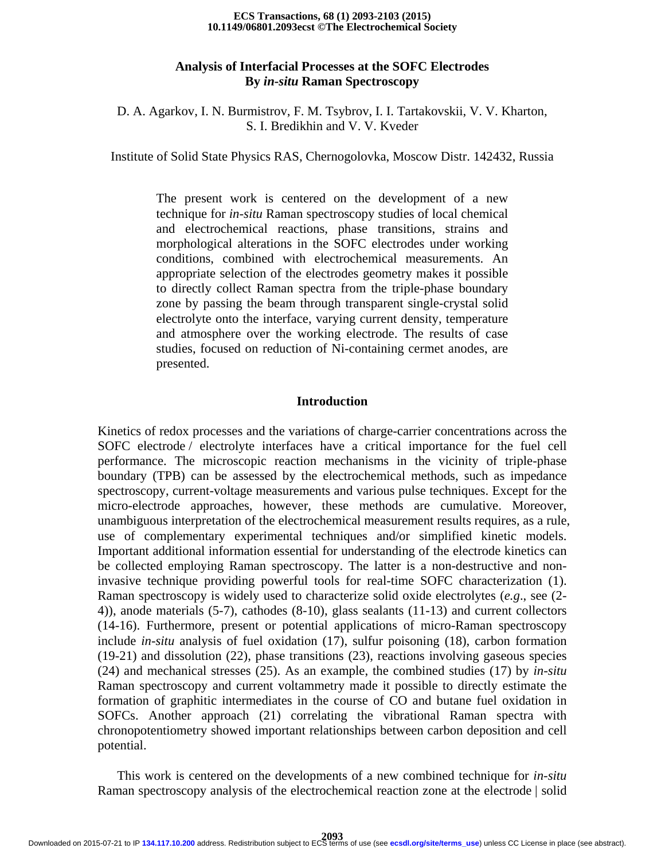#### **10.1149/06801.2093ecst ©The Electrochemical Society ECS Transactions, 68 (1) 2093-2103 (2015)**

# **Analysis of Interfacial Processes at the SOFC Electrodes By** *in-situ* **Raman Spectroscopy**

# D. A. Agarkov, I. N. Burmistrov, F. M. Tsybrov, I. I. Tartakovskii, V. V. Kharton, S. I. Bredikhin and V. V. Kveder

Institute of Solid State Physics RAS, Chernogolovka, Moscow Distr. 142432, Russia

The present work is centered on the development of a new technique for *in-situ* Raman spectroscopy studies of local chemical and electrochemical reactions, phase transitions, strains and morphological alterations in the SOFC electrodes under working conditions, combined with electrochemical measurements. An appropriate selection of the electrodes geometry makes it possible to directly collect Raman spectra from the triple-phase boundary zone by passing the beam through transparent single-crystal solid electrolyte onto the interface, varying current density, temperature and atmosphere over the working electrode. The results of case studies, focused on reduction of Ni-containing cermet anodes, are presented.

#### **Introduction**

Kinetics of redox processes and the variations of charge-carrier concentrations across the SOFC electrode / electrolyte interfaces have a critical importance for the fuel cell performance. The microscopic reaction mechanisms in the vicinity of triple-phase boundary (TPB) can be assessed by the electrochemical methods, such as impedance spectroscopy, current-voltage measurements and various pulse techniques. Except for the micro-electrode approaches, however, these methods are cumulative. Moreover, unambiguous interpretation of the electrochemical measurement results requires, as a rule, use of complementary experimental techniques and/or simplified kinetic models. Important additional information essential for understanding of the electrode kinetics can be collected employing Raman spectroscopy. The latter is a non-destructive and noninvasive technique providing powerful tools for real-time SOFC characterization (1). Raman spectroscopy is widely used to characterize solid oxide electrolytes (*e.g*., see (2- 4)), anode materials (5-7), cathodes (8-10), glass sealants (11-13) and current collectors (14-16). Furthermore, present or potential applications of micro-Raman spectroscopy include *in-situ* analysis of fuel oxidation (17), sulfur poisoning (18), carbon formation (19-21) and dissolution (22), phase transitions (23), reactions involving gaseous species (24) and mechanical stresses (25). As an example, the combined studies (17) by *in-situ*  Raman spectroscopy and current voltammetry made it possible to directly estimate the formation of graphitic intermediates in the course of CO and butane fuel oxidation in SOFCs. Another approach (21) correlating the vibrational Raman spectra with chronopotentiometry showed important relationships between carbon deposition and cell potential.

This work is centered on the developments of a new combined technique for *in-situ* Raman spectroscopy analysis of the electrochemical reaction zone at the electrode | solid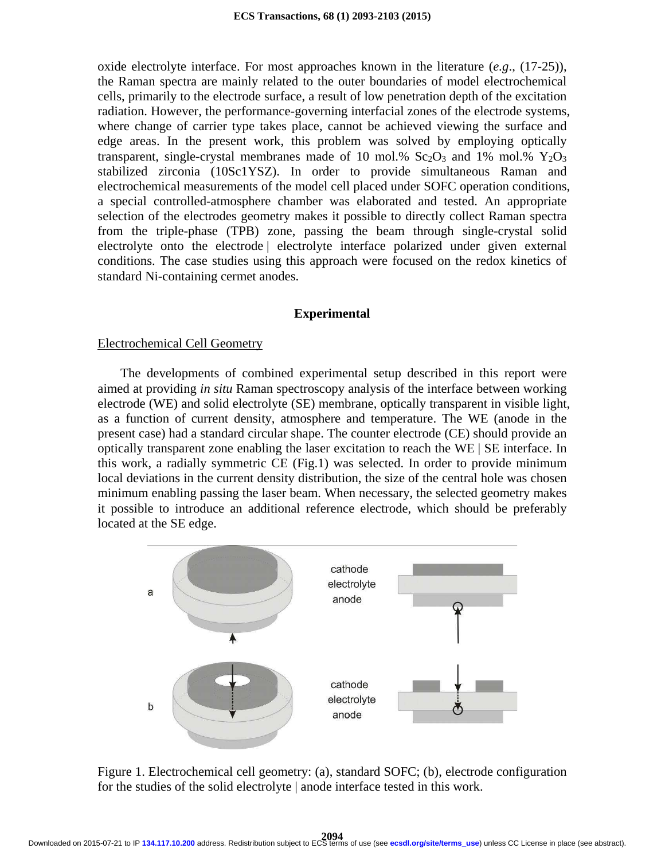oxide electrolyte interface. For most approaches known in the literature (*e.g*., (17-25)), the Raman spectra are mainly related to the outer boundaries of model electrochemical cells, primarily to the electrode surface, a result of low penetration depth of the excitation radiation. However, the performance-governing interfacial zones of the electrode systems, where change of carrier type takes place, cannot be achieved viewing the surface and edge areas. In the present work, this problem was solved by employing optically transparent, single-crystal membranes made of 10 mol.%  $Sc_2O_3$  and 1% mol.%  $Y_2O_3$ stabilized zirconia (10Sc1YSZ). In order to provide simultaneous Raman and electrochemical measurements of the model cell placed under SOFC operation conditions, a special controlled-atmosphere chamber was elaborated and tested. An appropriate selection of the electrodes geometry makes it possible to directly collect Raman spectra from the triple-phase (TPB) zone, passing the beam through single-crystal solid electrolyte onto the electrode | electrolyte interface polarized under given external conditions. The case studies using this approach were focused on the redox kinetics of standard Ni-containing cermet anodes.

# **Experimental**

### Electrochemical Cell Geometry

 The developments of combined experimental setup described in this report were aimed at providing *in situ* Raman spectroscopy analysis of the interface between working electrode (WE) and solid electrolyte (SE) membrane, optically transparent in visible light, as a function of current density, atmosphere and temperature. The WE (anode in the present case) had a standard circular shape. The counter electrode (CE) should provide an optically transparent zone enabling the laser excitation to reach the WE | SE interface. In this work, a radially symmetric CE (Fig.1) was selected. In order to provide minimum local deviations in the current density distribution, the size of the central hole was chosen minimum enabling passing the laser beam. When necessary, the selected geometry makes it possible to introduce an additional reference electrode, which should be preferably located at the SE edge.



Figure 1. Electrochemical cell geometry: (a), standard SOFC; (b), electrode configuration for the studies of the solid electrolyte | anode interface tested in this work.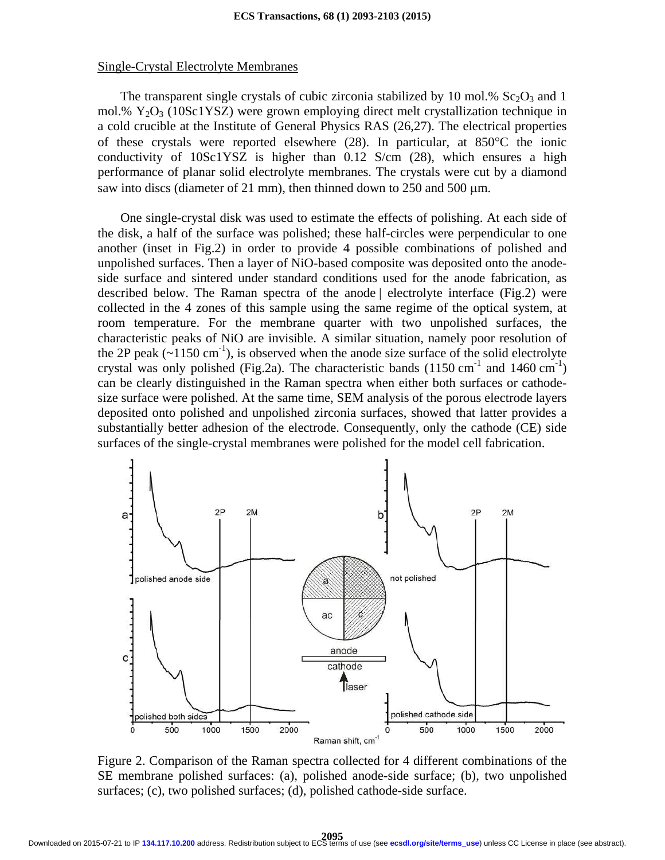#### Single-Crystal Electrolyte Membranes

The transparent single crystals of cubic zirconia stabilized by 10 mol.%  $Sc_2O_3$  and 1 mol.%  $Y_2O_3$  (10Sc1YSZ) were grown employing direct melt crystallization technique in a cold crucible at the Institute of General Physics RAS (26,27). The electrical properties of these crystals were reported elsewhere (28). In particular, at 850°C the ionic conductivity of 10Sc1YSZ is higher than 0.12 S/cm (28), which ensures a high performance of planar solid electrolyte membranes. The crystals were cut by a diamond saw into discs (diameter of 21 mm), then thinned down to 250 and 500  $\mu$ m.

One single-crystal disk was used to estimate the effects of polishing. At each side of the disk, a half of the surface was polished; these half-circles were perpendicular to one another (inset in Fig.2) in order to provide 4 possible combinations of polished and unpolished surfaces. Then a layer of NiO-based composite was deposited onto the anodeside surface and sintered under standard conditions used for the anode fabrication, as described below. The Raman spectra of the anode | electrolyte interface (Fig.2) were collected in the 4 zones of this sample using the same regime of the optical system, at room temperature. For the membrane quarter with two unpolished surfaces, the characteristic peaks of NiO are invisible. A similar situation, namely poor resolution of the 2P peak  $(\sim 1150 \text{ cm}^{-1})$ , is observed when the anode size surface of the solid electrolyte crystal was only polished (Fig.2a). The characteristic bands (1150 cm<sup>-1</sup> and 1460 cm<sup>-1</sup>) can be clearly distinguished in the Raman spectra when either both surfaces or cathodesize surface were polished. At the same time, SEM analysis of the porous electrode layers deposited onto polished and unpolished zirconia surfaces, showed that latter provides a substantially better adhesion of the electrode. Consequently, only the cathode (CE) side surfaces of the single-crystal membranes were polished for the model cell fabrication.



Figure 2. Comparison of the Raman spectra collected for 4 different combinations of the SE membrane polished surfaces: (a), polished anode-side surface; (b), two unpolished surfaces; (c), two polished surfaces; (d), polished cathode-side surface.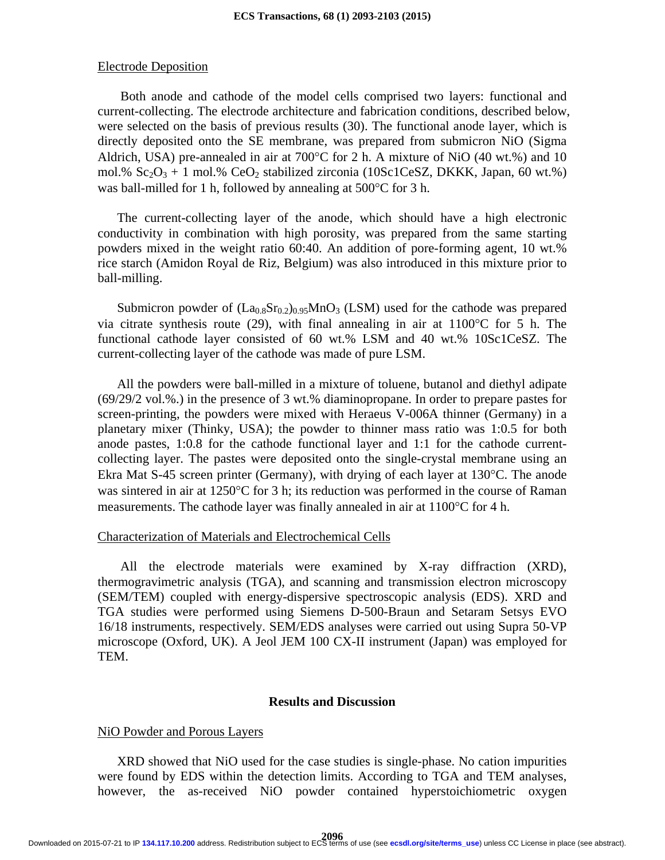#### Electrode Deposition

 Both anode and cathode of the model cells comprised two layers: functional and current-collecting. The electrode architecture and fabrication conditions, described below, were selected on the basis of previous results (30). The functional anode layer, which is directly deposited onto the SE membrane, was prepared from submicron NiO (Sigma Aldrich, USA) pre-annealed in air at 700°C for 2 h. A mixture of NiO (40 wt.%) and 10 mol.%  $Sc_2O_3 + 1$  mol.%  $CeO_2$  stabilized zirconia (10Sc1CeSZ, DKKK, Japan, 60 wt.%) was ball-milled for 1 h, followed by annealing at 500°C for 3 h.

The current-collecting layer of the anode, which should have a high electronic conductivity in combination with high porosity, was prepared from the same starting powders mixed in the weight ratio 60:40. An addition of pore-forming agent, 10 wt.% rice starch (Amidon Royal de Riz, Belgium) was also introduced in this mixture prior to ball-milling.

Submicron powder of  $(La_{0.8}Sr_{0.2})_{0.95}MnO_3$  (LSM) used for the cathode was prepared via citrate synthesis route (29), with final annealing in air at 1100°C for 5 h. The functional cathode layer consisted of 60 wt.% LSM and 40 wt.% 10Sc1CeSZ. The current-collecting layer of the cathode was made of pure LSM.

All the powders were ball-milled in a mixture of toluene, butanol and diethyl adipate (69/29/2 vol.%.) in the presence of 3 wt.% diaminopropane. In order to prepare pastes for screen-printing, the powders were mixed with Heraeus V-006A thinner (Germany) in a planetary mixer (Thinky, USA); the powder to thinner mass ratio was 1:0.5 for both anode pastes, 1:0.8 for the cathode functional layer and 1:1 for the cathode currentcollecting layer. The pastes were deposited onto the single-crystal membrane using an Ekra Mat S-45 screen printer (Germany), with drying of each layer at 130°C. The anode was sintered in air at 1250°C for 3 h; its reduction was performed in the course of Raman measurements. The cathode layer was finally annealed in air at 1100°C for 4 h.

## Characterization of Materials and Electrochemical Cells

 All the electrode materials were examined by X-ray diffraction (XRD), thermogravimetric analysis (TGA), and scanning and transmission electron microscopy (SEM/TEM) coupled with energy-dispersive spectroscopic analysis (EDS). XRD and TGA studies were performed using Siemens D-500-Braun and Setaram Setsys EVO 16/18 instruments, respectively. SEM/EDS analyses were carried out using Supra 50-VP microscope (Oxford, UK). A Jeol JEM 100 CX-II instrument (Japan) was employed for TEM.

### **Results and Discussion**

### NiO Powder and Porous Layers

XRD showed that NiO used for the case studies is single-phase. No cation impurities were found by EDS within the detection limits. According to TGA and TEM analyses, however, the as-received NiO powder contained hyperstoichiometric oxygen

**2096** Downloaded on 2015-07-21 to IP **134.117.10.200** address. Redistribution subject to ECS terms of use (see **[ecsdl.org/site/terms\\_use](http://ecsdl.org/site/terms_use)**) unless CC License in place (see abstract).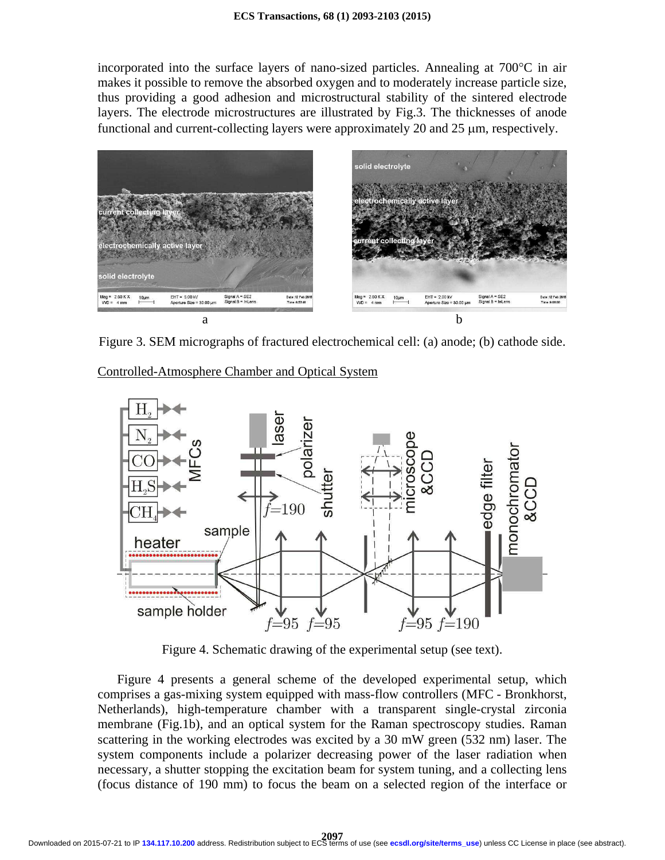incorporated into the surface layers of nano-sized particles. Annealing at 700°C in air makes it possible to remove the absorbed oxygen and to moderately increase particle size, thus providing a good adhesion and microstructural stability of the sintered electrode layers. The electrode microstructures are illustrated by Fig.3. The thicknesses of anode functional and current-collecting layers were approximately 20 and 25 µm, respectively.



Figure 3. SEM micrographs of fractured electrochemical cell: (a) anode; (b) cathode side.

Controlled-Atmosphere Chamber and Optical System



Figure 4. Schematic drawing of the experimental setup (see text).

Figure 4 presents a general scheme of the developed experimental setup, which comprises a gas-mixing system equipped with mass-flow controllers (MFC - Bronkhorst, Netherlands), high-temperature chamber with a transparent single-crystal zirconia membrane (Fig.1b), and an optical system for the Raman spectroscopy studies. Raman scattering in the working electrodes was excited by a 30 mW green (532 nm) laser. The system components include a polarizer decreasing power of the laser radiation when necessary, a shutter stopping the excitation beam for system tuning, and a collecting lens (focus distance of 190 mm) to focus the beam on a selected region of the interface or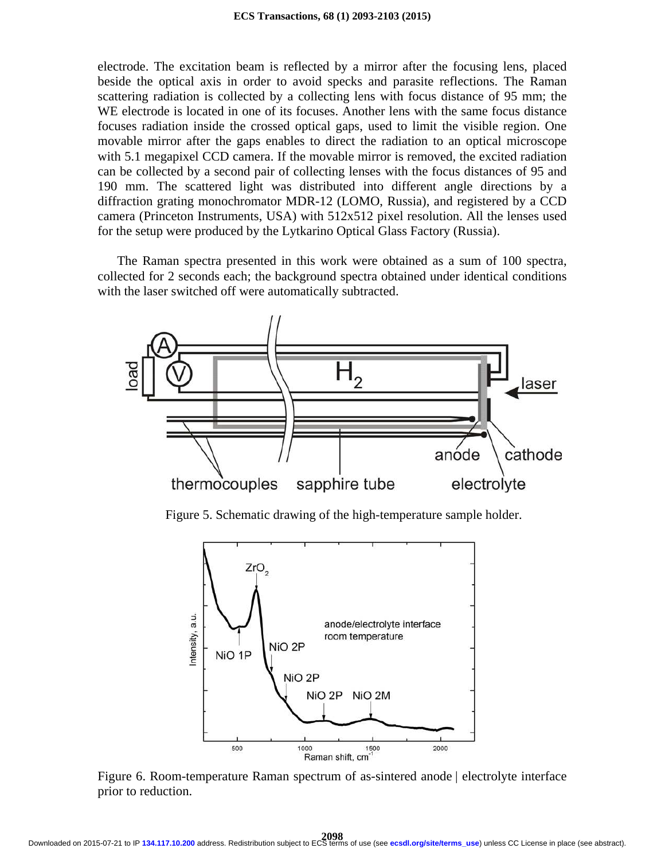electrode. The excitation beam is reflected by a mirror after the focusing lens, placed beside the optical axis in order to avoid specks and parasite reflections. The Raman scattering radiation is collected by a collecting lens with focus distance of 95 mm; the WE electrode is located in one of its focuses. Another lens with the same focus distance focuses radiation inside the crossed optical gaps, used to limit the visible region. One movable mirror after the gaps enables to direct the radiation to an optical microscope with 5.1 megapixel CCD camera. If the movable mirror is removed, the excited radiation can be collected by a second pair of collecting lenses with the focus distances of 95 and 190 mm. The scattered light was distributed into different angle directions by a diffraction grating monochromator MDR-12 (LOMO, Russia), and registered by a CCD camera (Princeton Instruments, USA) with 512x512 pixel resolution. All the lenses used for the setup were produced by the Lytkarino Optical Glass Factory (Russia).

The Raman spectra presented in this work were obtained as a sum of 100 spectra, collected for 2 seconds each; the background spectra obtained under identical conditions with the laser switched off were automatically subtracted.



Figure 5. Schematic drawing of the high-temperature sample holder.



Figure 6. Room-temperature Raman spectrum of as-sintered anode | electrolyte interface prior to reduction.

**2098** Downloaded on 2015-07-21 to IP **134.117.10.200** address. Redistribution subject to ECS terms of use (see **[ecsdl.org/site/terms\\_use](http://ecsdl.org/site/terms_use)**) unless CC License in place (see abstract).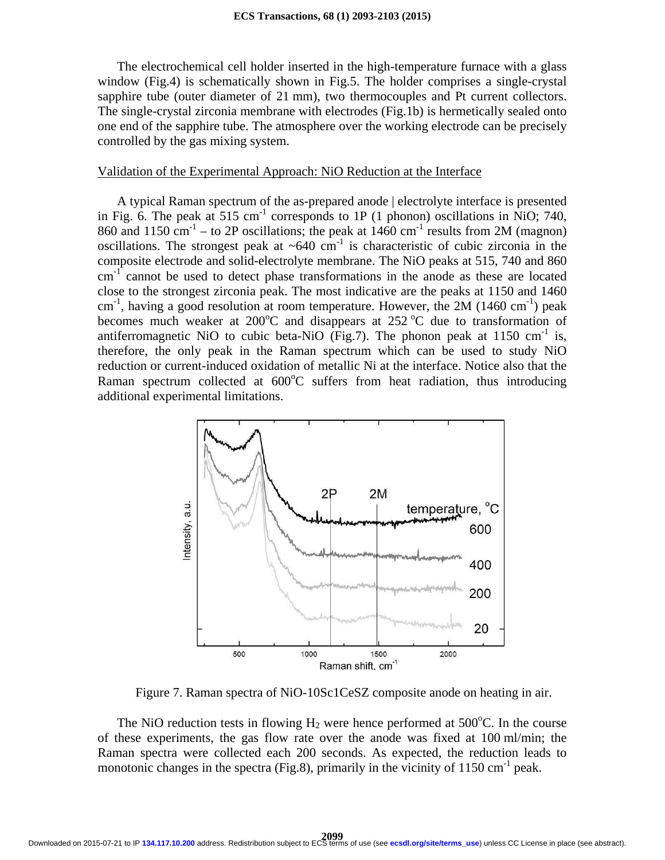The electrochemical cell holder inserted in the high-temperature furnace with a glass window (Fig.4) is schematically shown in Fig.5. The holder comprises a single-crystal sapphire tube (outer diameter of 21 mm), two thermocouples and Pt current collectors. The single-crystal zirconia membrane with electrodes (Fig.1b) is hermetically sealed onto one end of the sapphire tube. The atmosphere over the working electrode can be precisely controlled by the gas mixing system.

# Validation of the Experimental Approach: NiO Reduction at the Interface

A typical Raman spectrum of the as-prepared anode | electrolyte interface is presented in Fig. 6. The peak at  $515 \text{ cm}^{-1}$  corresponds to 1P (1 phonon) oscillations in NiO; 740, 860 and 1150 cm<sup>-1</sup> – to 2P oscillations; the peak at 1460 cm<sup>-1</sup> results from 2M (magnon) oscillations. The strongest peak at  $~640~\mathrm{cm}^{-1}$  is characteristic of cubic zirconia in the composite electrode and solid-electrolyte membrane. The NiO peaks at 515, 740 and 860  $cm<sup>-1</sup>$  cannot be used to detect phase transformations in the anode as these are located close to the strongest zirconia peak. The most indicative are the peaks at 1150 and 1460  $cm^{-1}$ , having a good resolution at room temperature. However, the 2M (1460 cm<sup>-1</sup>) peak becomes much weaker at  $200^{\circ}$ C and disappears at  $252^{\circ}$ C due to transformation of antiferromagnetic NiO to cubic beta-NiO (Fig.7). The phonon peak at  $1150 \text{ cm}^{-1}$  is, therefore, the only peak in the Raman spectrum which can be used to study NiO reduction or current-induced oxidation of metallic Ni at the interface. Notice also that the Raman spectrum collected at  $600^{\circ}$ C suffers from heat radiation, thus introducing additional experimental limitations.



Figure 7. Raman spectra of NiO-10Sc1CeSZ composite anode on heating in air.

The NiO reduction tests in flowing  $H_2$  were hence performed at 500 $^{\circ}$ C. In the course of these experiments, the gas flow rate over the anode was fixed at 100 ml/min; the Raman spectra were collected each 200 seconds. As expected, the reduction leads to monotonic changes in the spectra (Fig.8), primarily in the vicinity of  $1150 \text{ cm}^{-1}$  peak.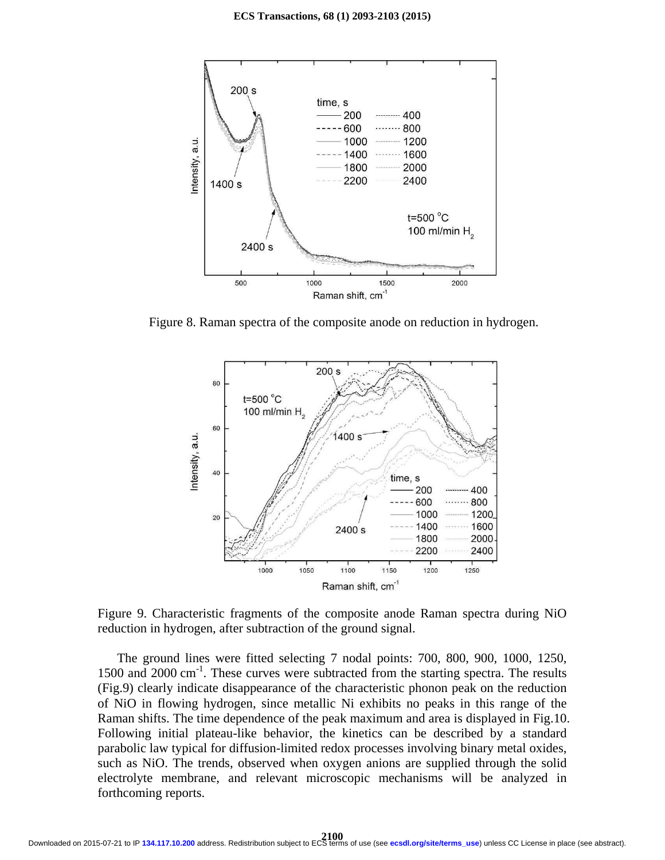

Figure 8. Raman spectra of the composite anode on reduction in hydrogen.



Figure 9. Characteristic fragments of the composite anode Raman spectra during NiO reduction in hydrogen, after subtraction of the ground signal.

The ground lines were fitted selecting 7 nodal points: 700, 800, 900, 1000, 1250, 1500 and 2000 cm<sup>-1</sup>. These curves were subtracted from the starting spectra. The results (Fig.9) clearly indicate disappearance of the characteristic phonon peak on the reduction of NiO in flowing hydrogen, since metallic Ni exhibits no peaks in this range of the Raman shifts. The time dependence of the peak maximum and area is displayed in Fig.10. Following initial plateau-like behavior, the kinetics can be described by a standard parabolic law typical for diffusion-limited redox processes involving binary metal oxides, such as NiO. The trends, observed when oxygen anions are supplied through the solid electrolyte membrane, and relevant microscopic mechanisms will be analyzed in forthcoming reports.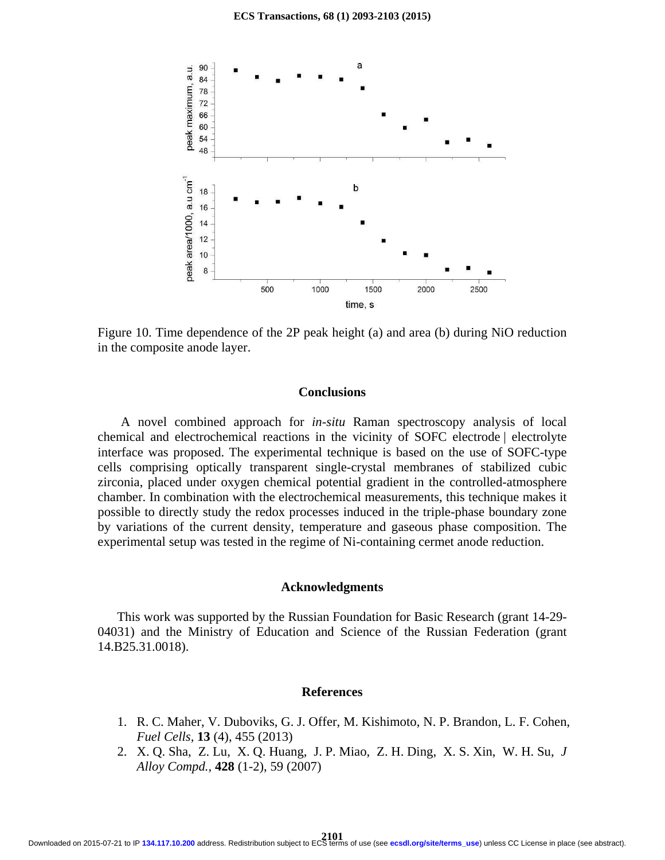

Figure 10. Time dependence of the 2P peak height (a) and area (b) during NiO reduction in the composite anode layer.

#### **Conclusions**

A novel combined approach for *in-situ* Raman spectroscopy analysis of local chemical and electrochemical reactions in the vicinity of SOFC electrode | electrolyte interface was proposed. The experimental technique is based on the use of SOFC-type cells comprising optically transparent single-crystal membranes of stabilized cubic zirconia, placed under oxygen chemical potential gradient in the controlled-atmosphere chamber. In combination with the electrochemical measurements, this technique makes it possible to directly study the redox processes induced in the triple-phase boundary zone by variations of the current density, temperature and gaseous phase composition. The experimental setup was tested in the regime of Ni-containing cermet anode reduction.

#### **Acknowledgments**

This work was supported by the Russian Foundation for Basic Research (grant 14-29- 04031) and the Ministry of Education and Science of the Russian Federation (grant 14.B25.31.0018).

### **References**

- 1. R. C. Maher, V. Duboviks, G. J. Offer, M. Kishimoto, N. P. Brandon, L. F. Cohen, *Fuel Cells,* **13** (4), 455 (2013)
- 2. X. Q. Sha, Z. Lu, X. Q. Huang, J. P. Miao, Z. H. Ding, X. S. Xin, W. H. Su, *J Alloy Compd.,* **428** (1-2), 59 (2007)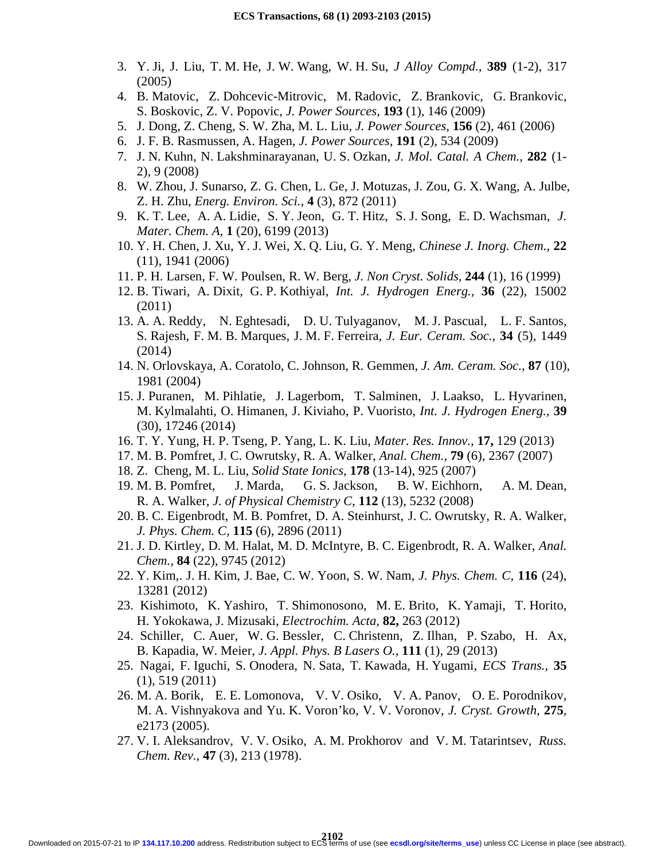- 3. Y. Ji, J. Liu, T. M. He, J. W. Wang, W. H. Su, *J Alloy Compd.,* **389** (1-2), 317 (2005)
- 4. B. Matovic, Z. Dohcevic-Mitrovic, M. Radovic, Z. Brankovic, G. Brankovic, S. Boskovic, Z. V. Popovic, *J. Power Sources,* **193** (1), 146 (2009)
- 5. J. Dong, Z. Cheng, S. W. Zha, M. L. Liu, *J. Power Sources,* **156** (2), 461 (2006)
- 6. J. F. B. Rasmussen, A. Hagen, *J. Power Sources,* **191** (2), 534 (2009)
- 7. J. N. Kuhn, N. Lakshminarayanan, U. S. Ozkan, *J. Mol. Catal. A Chem.,* **282** (1- 2), 9 (2008)
- 8. W. Zhou, J. Sunarso, Z. G. Chen, L. Ge, J. Motuzas, J. Zou, G. X. Wang, A. Julbe, Z. H. Zhu, *Energ. Environ. Sci.*, **4** (3), 872 (2011)
- 9. K. T. Lee, A. A. Lidie, S. Y. Jeon, G. T. Hitz, S. J. Song, E. D. Wachsman, *J. Mater. Chem. A,* **1** (20), 6199 (2013)
- 10. Y. H. Chen, J. Xu, Y. J. Wei, X. Q. Liu, G. Y. Meng, *Chinese J. Inorg. Chem.,* **22**  (11), 1941 (2006)
- 11. P. H. Larsen, F. W. Poulsen, R. W. Berg, *J. Non Cryst. Solids,* **244** (1), 16 (1999)
- 12. B. Tiwari, A. Dixit, G. P. Kothiyal, *Int. J. Hydrogen Energ.,* **36** (22), 15002 (2011)
- 13. A. A. Reddy, N. Eghtesadi, D. U. Tulyaganov, M. J. Pascual, L. F. Santos, S. Rajesh, F. M. B. Marques, J. M. F. Ferreira, *J. Eur. Ceram. Soc.,* **34** (5), 1449 (2014)
- 14. N. Orlovskaya, A. Coratolo, C. Johnson, R. Gemmen, *J. Am. Ceram. Soc.,* **87** (10), 1981 (2004)
- 15. J. Puranen, M. Pihlatie, J. Lagerbom, T. Salminen, J. Laakso, L. Hyvarinen, M. Kylmalahti, O. Himanen, J. Kiviaho, P. Vuoristo, *Int. J. Hydrogen Energ.,* **39**  (30), 17246 (2014)
- 16. T. Y. Yung, H. P. Tseng, P. Yang, L. K. Liu, *Mater. Res. Innov.,* **17,** 129 (2013)
- 17. M. B. Pomfret, J. C. Owrutsky, R. A. Walker, *Anal. Chem.,* **79** (6), 2367 (2007)
- 18. Z. Cheng, M. L. Liu, *Solid State Ionics,* **178** (13-14), 925 (2007)
- 19. M. B. Pomfret, J. Marda, G. S. Jackson, B. W. Eichhorn, A. M. Dean, R. A. Walker, *J. of Physical Chemistry C,* **112** (13), 5232 (2008)
- 20. B. C. Eigenbrodt, M. B. Pomfret, D. A. Steinhurst, J. C. Owrutsky, R. A. Walker, *J. Phys. Chem. C,* **115** (6), 2896 (2011)
- 21. J. D. Kirtley, D. M. Halat, M. D. McIntyre, B. C. Eigenbrodt, R. A. Walker, *Anal. Chem.,* **84** (22), 9745 (2012)
- 22. Y. Kim,. J. H. Kim, J. Bae, C. W. Yoon, S. W. Nam, *J. Phys. Chem. C,* **116** (24), 13281 (2012)
- 23. Kishimoto, K. Yashiro, T. Shimonosono, M. E. Brito, K. Yamaji, T. Horito, H. Yokokawa, J. Mizusaki, *Electrochim. Acta,* **82,** 263 (2012)
- 24. Schiller, C. Auer, W. G. Bessler, C. Christenn, Z. Ilhan, P. Szabo, H. Ax, B. Kapadia, W. Meier, *J. Appl. Phys. B Lasers O.,* **111** (1), 29 (2013)
- 25. Nagai, F. Iguchi, S. Onodera, N. Sata, T. Kawada, H. Yugami, *ECS Trans.,* **35**  (1), 519 (2011)
- 26. M. A. Borik, E. E. Lomonova, V. V. Osiko, V. A. Panov, O. E. Porodnikov, M. A. Vishnyakova and Yu. K. Voron'ko, V. V. Voronov, *J. Cryst. Growth*, **275**, e2173 (2005).
- 27. V. I. Aleksandrov, V. V. Osiko, A. M. Prokhorov and V. M. Tatarintsev, *Russ. Chem. Rev.*, **47** (3), 213 (1978).